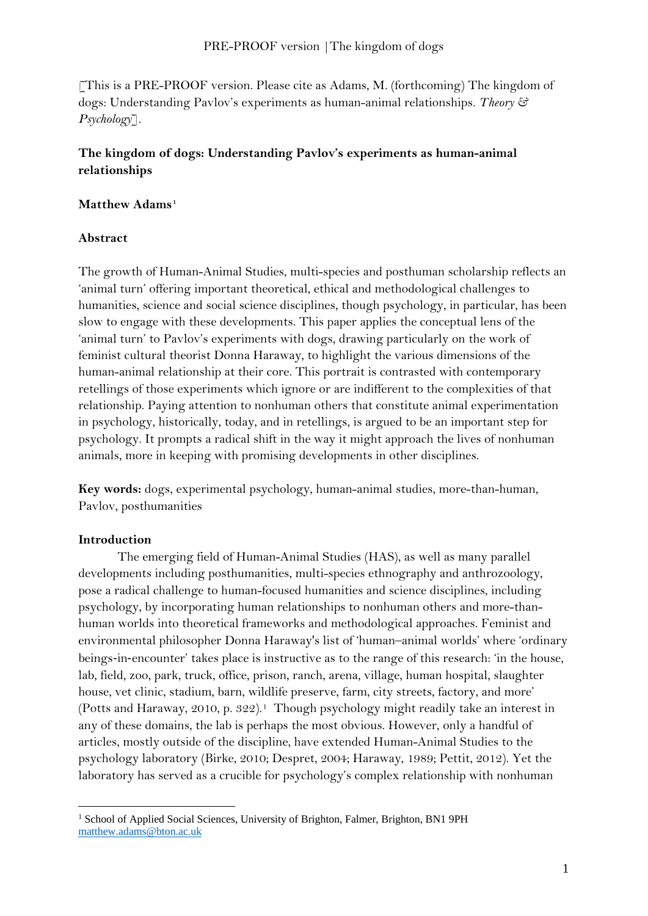[This is a PRE-PROOF version. Please cite as Adams, M. (forthcoming) The kingdom of dogs: Understanding Pavlov's experiments as human-animal relationships. *Theory & Psychology*]*.* 

# **The kingdom of dogs: Understanding Pavlov's experiments as human-animal relationships**

# **Matthew Adams[1](#page-0-0)**

# **Abstract**

The growth of Human-Animal Studies, multi-species and posthuman scholarship reflects an 'animal turn' offering important theoretical, ethical and methodological challenges to humanities, science and social science disciplines, though psychology, in particular, has been slow to engage with these developments. This paper applies the conceptual lens of the 'animal turn' to Pavlov's experiments with dogs, drawing particularly on the work of feminist cultural theorist Donna Haraway, to highlight the various dimensions of the human-animal relationship at their core. This portrait is contrasted with contemporary retellings of those experiments which ignore or are indifferent to the complexities of that relationship. Paying attention to nonhuman others that constitute animal experimentation in psychology, historically, today, and in retellings, is argued to be an important step for psychology. It prompts a radical shift in the way it might approach the lives of nonhuman animals, more in keeping with promising developments in other disciplines.

**Key words:** dogs, experimental psychology, human-animal studies, more-than-human, Pavlov, posthumanities

# **Introduction**

The emerging field of Human-Animal Studies (HAS), as well as many parallel developments including posthumanities, multi-species ethnography and anthrozoology, pose a radical challenge to human-focused humanities and science disciplines, including psychology, by incorporating human relationships to nonhuman others and more-thanhuman worlds into theoretical frameworks and methodological approaches. Feminist and environmental philosopher Donna Haraway's list of 'human–animal worlds' where 'ordinary beings-in-encounter' takes place is instructive as to the range of this research: 'in the house, lab, field, zoo, park, truck, office, prison, ranch, arena, village, human hospital, slaughter house, vet clinic, stadium, barn, wildlife preserve, farm, city streets, factory, and more' (Potts and Haraway, 2010, p. 322).[1](#page-2-0) Though psychology might readily take an interest in any of these domains, the lab is perhaps the most obvious. However, only a handful of articles, mostly outside of the discipline, have extended Human-Animal Studies to the psychology laboratory (Birke, 2010; Despret, 2004; Haraway, 1989; Pettit, 2012). Yet the laboratory has served as a crucible for psychology's complex relationship with nonhuman

<span id="page-0-0"></span><sup>&</sup>lt;sup>1</sup> School of Applied Social Sciences, University of Brighton, Falmer, Brighton, BN1 9PH [matthew.adams@bton.ac.uk](mailto:matthew.adams@bton.ac.uk)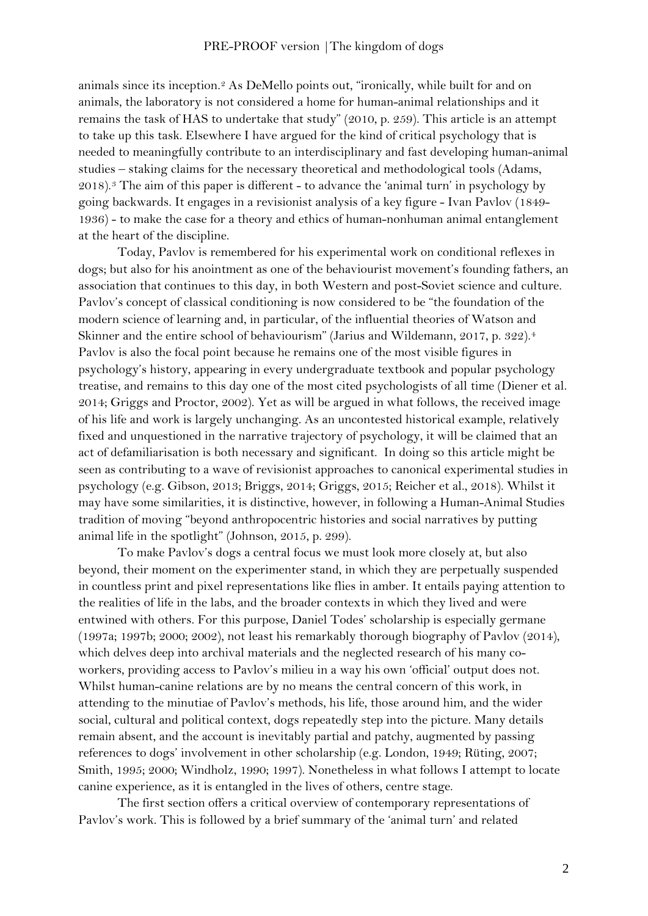animals since its inception.[2](#page-2-1) As DeMello points out, "ironically, while built for and on animals, the laboratory is not considered a home for human-animal relationships and it remains the task of HAS to undertake that study" (2010, p. 259). This article is an attempt to take up this task. Elsewhere I have argued for the kind of critical psychology that is needed to meaningfully contribute to an interdisciplinary and fast developing human-animal studies – staking claims for the necessary theoretical and methodological tools (Adams,  $2018$ .<sup>[3](#page-2-2)</sup> The aim of this paper is different - to advance the 'animal turn' in psychology by going backwards. It engages in a revisionist analysis of a key figure - Ivan Pavlov (1849- 1936) - to make the case for a theory and ethics of human-nonhuman animal entanglement at the heart of the discipline.

Today, Pavlov is remembered for his experimental work on conditional reflexes in dogs; but also for his anointment as one of the behaviourist movement's founding fathers, an association that continues to this day, in both Western and post-Soviet science and culture. Pavlov's concept of classical conditioning is now considered to be "the foundation of the modern science of learning and, in particular, of the influential theories of Watson and Skinner and the entire school of behaviourism" (Jarius and Wildemann, 2017, p. 322).<sup>[4](#page-2-3)</sup> Pavlov is also the focal point because he remains one of the most visible figures in psychology's history, appearing in every undergraduate textbook and popular psychology treatise, and remains to this day one of the most cited psychologists of all time (Diener et al. 2014; Griggs and Proctor, 2002). Yet as will be argued in what follows, the received image of his life and work is largely unchanging. As an uncontested historical example, relatively fixed and unquestioned in the narrative trajectory of psychology, it will be claimed that an act of defamiliarisation is both necessary and significant. In doing so this article might be seen as contributing to a wave of revisionist approaches to canonical experimental studies in psychology (e.g. Gibson, 2013; Briggs, 2014; Griggs, 2015; Reicher et al., 2018). Whilst it may have some similarities, it is distinctive, however, in following a Human-Animal Studies tradition of moving "beyond anthropocentric histories and social narratives by putting animal life in the spotlight" (Johnson, 2015, p. 299).

To make Pavlov's dogs a central focus we must look more closely at, but also beyond, their moment on the experimenter stand, in which they are perpetually suspended in countless print and pixel representations like flies in amber. It entails paying attention to the realities of life in the labs, and the broader contexts in which they lived and were entwined with others. For this purpose, Daniel Todes' scholarship is especially germane (1997a; 1997b; 2000; 2002), not least his remarkably thorough biography of Pavlov (2014), which delves deep into archival materials and the neglected research of his many coworkers, providing access to Pavlov's milieu in a way his own 'official' output does not. Whilst human-canine relations are by no means the central concern of this work, in attending to the minutiae of Pavlov's methods, his life, those around him, and the wider social, cultural and political context, dogs repeatedly step into the picture. Many details remain absent, and the account is inevitably partial and patchy, augmented by passing references to dogs' involvement in other scholarship (e.g. London, 1949; Rüting, 2007; Smith, 1995; 2000; Windholz, 1990; 1997). Nonetheless in what follows I attempt to locate canine experience, as it is entangled in the lives of others, centre stage.

The first section offers a critical overview of contemporary representations of Pavlov's work. This is followed by a brief summary of the 'animal turn' and related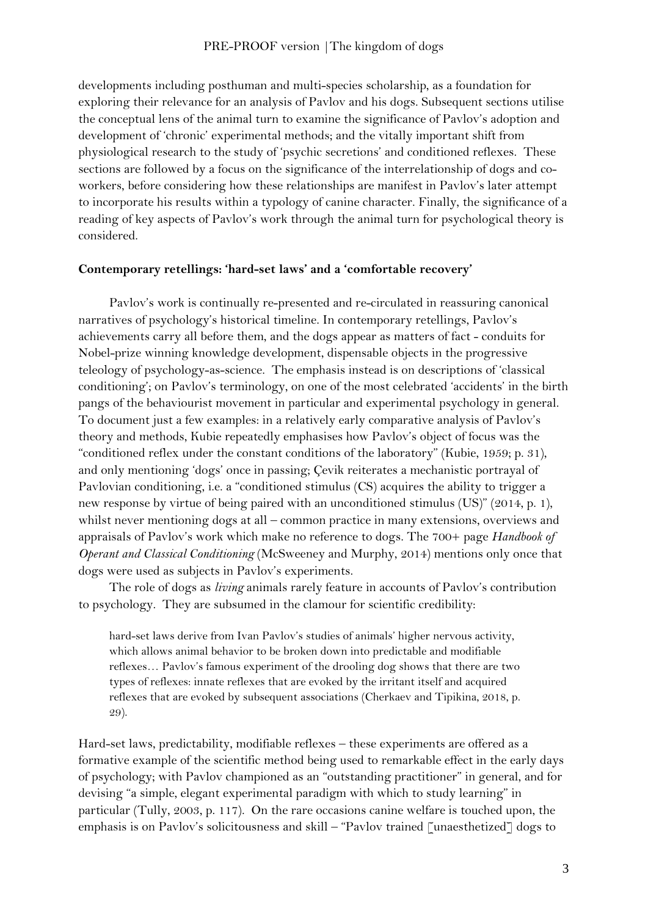developments including posthuman and multi-species scholarship, as a foundation for exploring their relevance for an analysis of Pavlov and his dogs. Subsequent sections utilise the conceptual lens of the animal turn to examine the significance of Pavlov's adoption and development of 'chronic' experimental methods; and the vitally important shift from physiological research to the study of 'psychic secretions' and conditioned reflexes. These sections are followed by a focus on the significance of the interrelationship of dogs and coworkers, before considering how these relationships are manifest in Pavlov's later attempt to incorporate his results within a typology of canine character. Finally, the significance of a reading of key aspects of Pavlov's work through the animal turn for psychological theory is considered.

## <span id="page-2-2"></span><span id="page-2-1"></span><span id="page-2-0"></span>**Contemporary retellings: 'hard-set laws' and a 'comfortable recovery'**

<span id="page-2-6"></span><span id="page-2-5"></span><span id="page-2-4"></span><span id="page-2-3"></span>Pavlov's work is continually re-presented and re-circulated in reassuring canonical narratives of psychology's historical timeline. In contemporary retellings, Pavlov's achievements carry all before them, and the dogs appear as matters of fact - conduits for Nobel-prize winning knowledge development, dispensable objects in the progressive teleology of psychology-as-science. The emphasis instead is on descriptions of 'classical conditioning'; on Pavlov's terminology, on one of the most celebrated 'accidents' in the birth pangs of the behaviourist movement in particular and experimental psychology in general. To document just a few examples: in a relatively early comparative analysis of Pavlov's theory and methods, Kubie repeatedly emphasises how Pavlov's object of focus was the "conditioned reflex under the constant conditions of the laboratory" (Kubie, 1959; p. 31), and only mentioning 'dogs' once in passing; Çevik reiterates a mechanistic portrayal of Pavlovian conditioning, i.e. a "conditioned stimulus (CS) acquires the ability to trigger a new response by virtue of being paired with an unconditioned stimulus (US)" (2014, p. 1), whilst never mentioning dogs at all – common practice in many extensions, overviews and appraisals of Pavlov's work which make no reference to dogs. The 700+ page *Handbook of Operant and Classical Conditioning* (McSweeney and Murphy, 2014) mentions only once that dogs were used as subjects in Pavlov's experiments.

<span id="page-2-10"></span><span id="page-2-9"></span><span id="page-2-8"></span><span id="page-2-7"></span>The role of dogs as *living* animals rarely feature in accounts of Pavlov's contribution to psychology. They are subsumed in the clamour for scientific credibility:

hard-set laws derive from Ivan Pavlov's studies of animals' higher nervous activity, which allows animal behavior to be broken down into predictable and modifiable reflexes… Pavlov's famous experiment of the drooling dog shows that there are two types of reflexes: innate reflexes that are evoked by the irritant itself and acquired reflexes that are evoked by subsequent associations (Cherkaev and Tipikina, 2018, p. 29).

Hard-set laws, predictability, modifiable reflexes – these experiments are offered as a formative example of the scientific method being used to remarkable effect in the early days of psychology; with Pavlov championed as an "outstanding practitioner" in general, and for devising "a simple, elegant experimental paradigm with which to study learning" in particular (Tully, 2003, p. 117). On the rare occasions canine welfare is touched upon, the emphasis is on Pavlov's solicitousness and skill – "Pavlov trained [unaesthetized] dogs to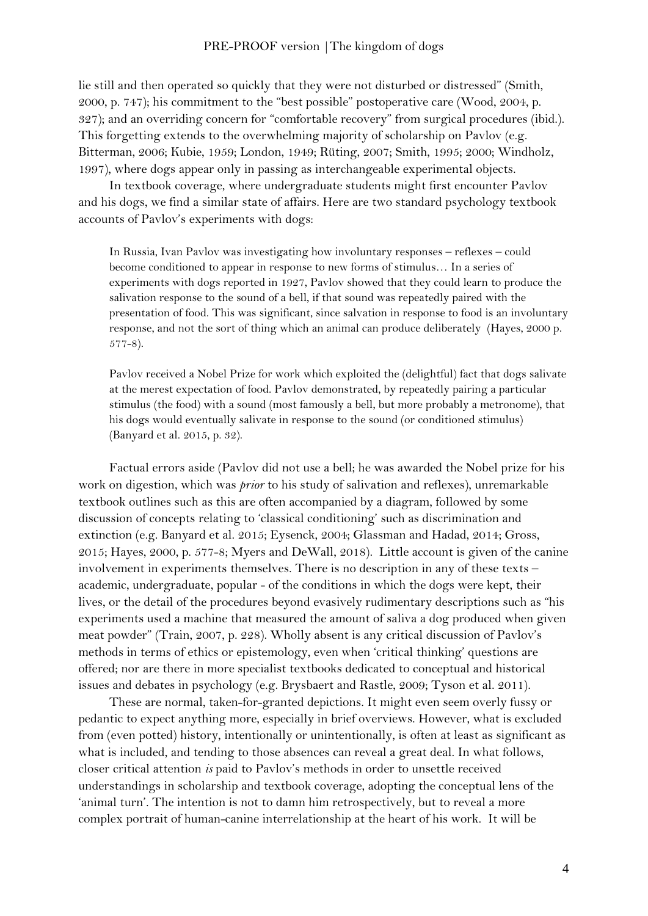lie still and then operated so quickly that they were not disturbed or distressed" (Smith, 2000, p. 747); his commitment to the "best possible" postoperative care (Wood, 2004, p. 327); and an overriding concern for "comfortable recovery" from surgical procedures (ibid.). This forgetting extends to the overwhelming majority of scholarship on Pavlov (e.g. Bitterman, 2006; Kubie, 1959; London, 1949; Rüting, 2007; Smith, 1995; 2000; Windholz, 1997), where dogs appear only in passing as interchangeable experimental objects.

In textbook coverage, where undergraduate students might first encounter Pavlov and his dogs, we find a similar state of affairs. Here are two standard psychology textbook accounts of Pavlov's experiments with dogs:

In Russia, Ivan Pavlov was investigating how involuntary responses – reflexes – could become conditioned to appear in response to new forms of stimulus… In a series of experiments with dogs reported in 1927, Pavlov showed that they could learn to produce the salivation response to the sound of a bell, if that sound was repeatedly paired with the presentation of food. This was significant, since salvation in response to food is an involuntary response, and not the sort of thing which an animal can produce deliberately (Hayes, 2000 p. 577-8).

Pavlov received a Nobel Prize for work which exploited the (delightful) fact that dogs salivate at the merest expectation of food. Pavlov demonstrated, by repeatedly pairing a particular stimulus (the food) with a sound (most famously a bell, but more probably a metronome), that his dogs would eventually salivate in response to the sound (or conditioned stimulus) (Banyard et al. 2015, p. 32).

Factual errors aside (Pavlov did not use a bell; he was awarded the Nobel prize for his work on digestion, which was *prior* to his study of salivation and reflexes), unremarkable textbook outlines such as this are often accompanied by a diagram, followed by some discussion of concepts relating to 'classical conditioning' such as discrimination and extinction (e.g. Banyard et al. 2015; Eysenck, 2004; Glassman and Hadad, 2014; Gross, 2015; Hayes, 2000, p. 577-8; Myers and DeWall, 2018). Little account is given of the canine involvement in experiments themselves. There is no description in any of these texts – academic, undergraduate, popular - of the conditions in which the dogs were kept, their lives, or the detail of the procedures beyond evasively rudimentary descriptions such as "his experiments used a machine that measured the amount of saliva a dog produced when given meat powder" (Train, 2007, p. 228). Wholly absent is any critical discussion of Pavlov's methods in terms of ethics or epistemology, even when 'critical thinking' questions are offered; nor are there in more specialist textbooks dedicated to conceptual and historical issues and debates in psychology (e.g. Brysbaert and Rastle, 2009; Tyson et al. 2011).

These are normal, taken-for-granted depictions. It might even seem overly fussy or pedantic to expect anything more, especially in brief overviews. However, what is excluded from (even potted) history, intentionally or unintentionally, is often at least as significant as what is included, and tending to those absences can reveal a great deal. In what follows, closer critical attention *is* paid to Pavlov's methods in order to unsettle received understandings in scholarship and textbook coverage, adopting the conceptual lens of the 'animal turn'. The intention is not to damn him retrospectively, but to reveal a more complex portrait of human-canine interrelationship at the heart of his work. It will be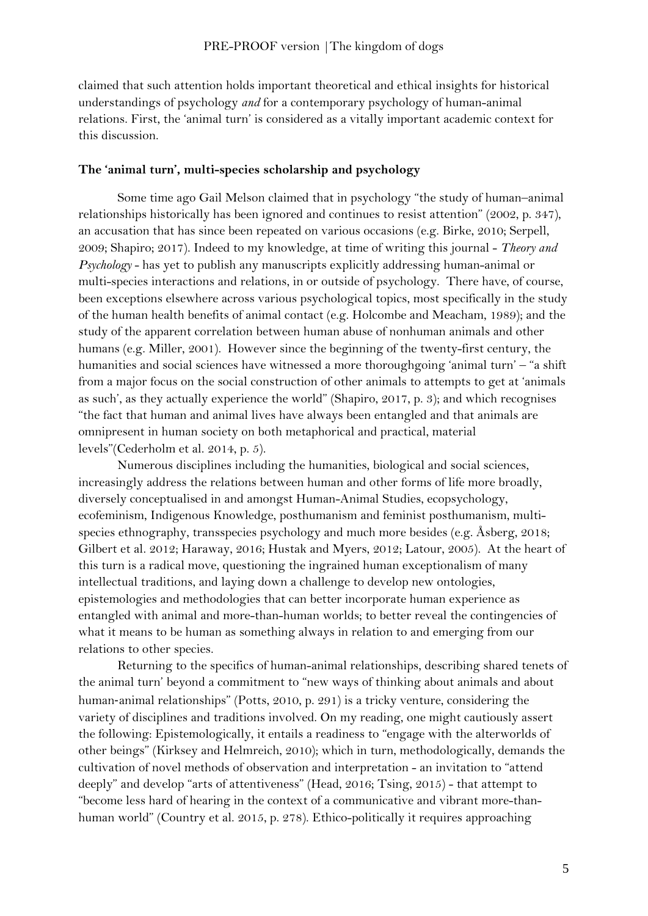claimed that such attention holds important theoretical and ethical insights for historical understandings of psychology *and* for a contemporary psychology of human-animal relations. First, the 'animal turn' is considered as a vitally important academic context for this discussion.

# **The 'animal turn', multi-species scholarship and psychology**

Some time ago Gail Melson claimed that in psychology "the study of human–animal relationships historically has been ignored and continues to resist attention" (2002, p. 347), an accusation that has since been repeated on various occasions (e.g. Birke, 2010; Serpell, 2009; Shapiro; 2017). Indeed to my knowledge, at time of writing this journal - *Theory and Psychology* - has yet to publish any manuscripts explicitly addressing human-animal or multi-species interactions and relations, in or outside of psychology. There have, of course, been exceptions elsewhere across various psychological topics, most specifically in the study of the human health benefits of animal contact (e.g. Holcombe and Meacham, 1989); and the study of the apparent correlation between human abuse of nonhuman animals and other humans (e.g. Miller, 2001). However since the beginning of the twenty-first century, the humanities and social sciences have witnessed a more thoroughgoing 'animal turn' – "a shift from a major focus on the social construction of other animals to attempts to get at 'animals as such', as they actually experience the world" (Shapiro, 2017, p. 3); and which recognises "the fact that human and animal lives have always been entangled and that animals are omnipresent in human society on both metaphorical and practical, material levels"(Cederholm et al. 2014, p. 5).

Numerous disciplines including the humanities, biological and social sciences, increasingly address the relations between human and other forms of life more broadly, diversely conceptualised in and amongst Human-Animal Studies, ecopsychology, ecofeminism, Indigenous Knowledge, posthumanism and feminist posthumanism, multispecies ethnography, transspecies psychology and much more besides (e.g. Åsberg, 2018; Gilbert et al. 2012; Haraway, 2016; Hustak and Myers, 2012; Latour, 2005). At the heart of this turn is a radical move, questioning the ingrained human exceptionalism of many intellectual traditions, and laying down a challenge to develop new ontologies, epistemologies and methodologies that can better incorporate human experience as entangled with animal and more-than-human worlds; to better reveal the contingencies of what it means to be human as something always in relation to and emerging from our relations to other species.

Returning to the specifics of human-animal relationships, describing shared tenets of the animal turn' beyond a commitment to "new ways of thinking about animals and about human-animal relationships" (Potts, 2010, p. 291) is a tricky venture, considering the variety of disciplines and traditions involved. On my reading, one might cautiously assert the following: Epistemologically, it entails a readiness to "engage with the alterworlds of other beings" (Kirksey and Helmreich, 2010); which in turn, methodologically, demands the cultivation of novel methods of observation and interpretation - an invitation to "attend deeply" and develop "arts of attentiveness" (Head, 2016; Tsing, 2015) - that attempt to "become less hard of hearing in the context of a communicative and vibrant more-thanhuman world" (Country et al. 2015, p. 278). Ethico-politically it requires approaching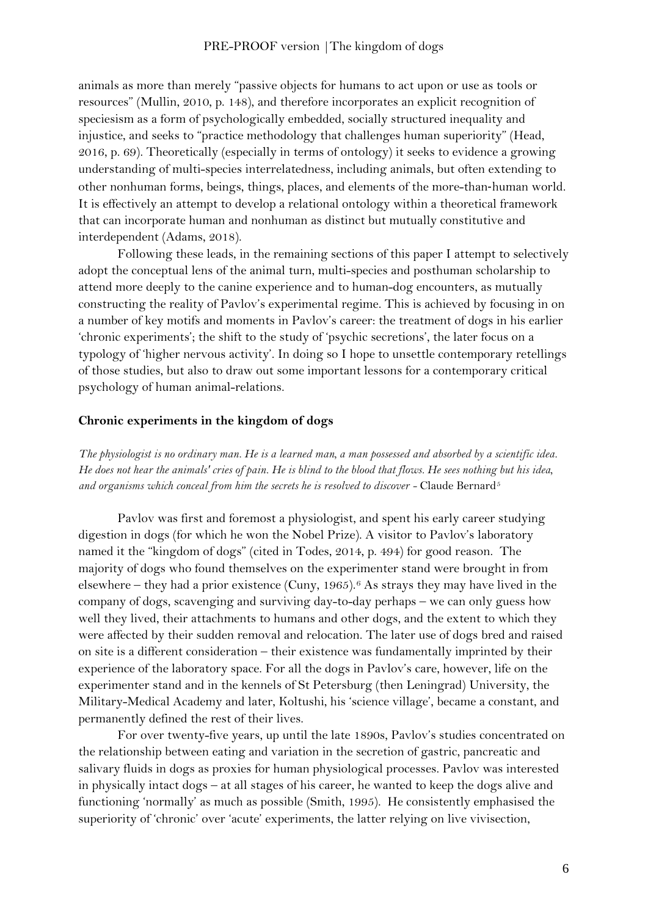animals as more than merely "passive objects for humans to act upon or use as tools or resources" (Mullin, 2010, p. 148), and therefore incorporates an explicit recognition of speciesism as a form of psychologically embedded, socially structured inequality and injustice, and seeks to "practice methodology that challenges human superiority" (Head, 2016, p. 69). Theoretically (especially in terms of ontology) it seeks to evidence a growing understanding of multi-species interrelatedness, including animals, but often extending to other nonhuman forms, beings, things, places, and elements of the more-than‐human world. It is effectively an attempt to develop a relational ontology within a theoretical framework that can incorporate human and nonhuman as distinct but mutually constitutive and interdependent (Adams, 2018).

Following these leads, in the remaining sections of this paper I attempt to selectively adopt the conceptual lens of the animal turn, multi-species and posthuman scholarship to attend more deeply to the canine experience and to human-dog encounters, as mutually constructing the reality of Pavlov's experimental regime. This is achieved by focusing in on a number of key motifs and moments in Pavlov's career: the treatment of dogs in his earlier 'chronic experiments'; the shift to the study of 'psychic secretions', the later focus on a typology of 'higher nervous activity'. In doing so I hope to unsettle contemporary retellings of those studies, but also to draw out some important lessons for a contemporary critical psychology of human animal-relations.

#### **Chronic experiments in the kingdom of dogs**

*The physiologist is no ordinary man. He is a learned man, a man possessed and absorbed by a scientific idea. He does not hear the animals' cries of pain. He is blind to the blood that flows. He sees nothing but his idea, and organisms which conceal from him the secrets he is resolved to discover -* Claude Bernard[5](#page-2-4)

Pavlov was first and foremost a physiologist, and spent his early career studying digestion in dogs (for which he won the Nobel Prize). A visitor to Pavlov's laboratory named it the "kingdom of dogs" (cited in Todes, 2014, p. 494) for good reason. The majority of dogs who found themselves on the experimenter stand were brought in from elsewhere – they had a prior existence (Cuny, 1965).[6](#page-2-5) As strays they may have lived in the company of dogs, scavenging and surviving day-to-day perhaps – we can only guess how well they lived, their attachments to humans and other dogs, and the extent to which they were affected by their sudden removal and relocation. The later use of dogs bred and raised on site is a different consideration – their existence was fundamentally imprinted by their experience of the laboratory space. For all the dogs in Pavlov's care, however, life on the experimenter stand and in the kennels of St Petersburg (then Leningrad) University, the Military-Medical Academy and later, Koltushi, his 'science village', became a constant, and permanently defined the rest of their lives.

For over twenty-five years, up until the late 1890s, Pavlov's studies concentrated on the relationship between eating and variation in the secretion of gastric, pancreatic and salivary fluids in dogs as proxies for human physiological processes. Pavlov was interested in physically intact dogs – at all stages of his career, he wanted to keep the dogs alive and functioning 'normally' as much as possible (Smith, 1995). He consistently emphasised the superiority of 'chronic' over 'acute' experiments, the latter relying on live vivisection,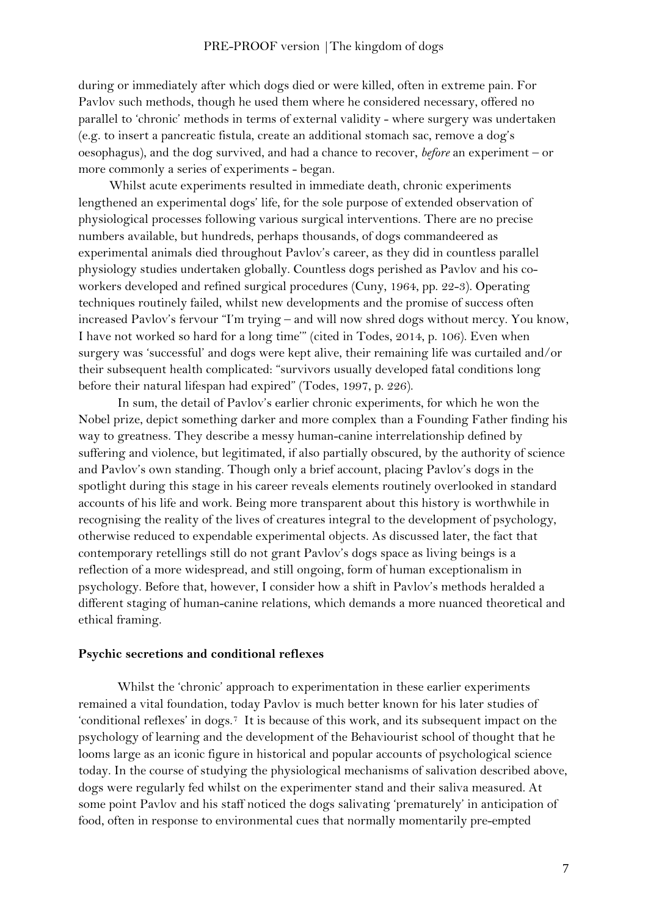during or immediately after which dogs died or were killed, often in extreme pain. For Pavlov such methods, though he used them where he considered necessary, offered no parallel to 'chronic' methods in terms of external validity - where surgery was undertaken (e.g. to insert a pancreatic fistula, create an additional stomach sac, remove a dog's oesophagus), and the dog survived, and had a chance to recover, *before* an experiment – or more commonly a series of experiments - began.

Whilst acute experiments resulted in immediate death, chronic experiments lengthened an experimental dogs' life, for the sole purpose of extended observation of physiological processes following various surgical interventions. There are no precise numbers available, but hundreds, perhaps thousands, of dogs commandeered as experimental animals died throughout Pavlov's career, as they did in countless parallel physiology studies undertaken globally. Countless dogs perished as Pavlov and his coworkers developed and refined surgical procedures (Cuny, 1964, pp. 22-3). Operating techniques routinely failed, whilst new developments and the promise of success often increased Pavlov's fervour "I'm trying – and will now shred dogs without mercy. You know, I have not worked so hard for a long time'" (cited in Todes, 2014, p. 106). Even when surgery was 'successful' and dogs were kept alive, their remaining life was curtailed and/or their subsequent health complicated: "survivors usually developed fatal conditions long before their natural lifespan had expired" (Todes, 1997, p. 226).

In sum, the detail of Pavlov's earlier chronic experiments, for which he won the Nobel prize, depict something darker and more complex than a Founding Father finding his way to greatness. They describe a messy human-canine interrelationship defined by suffering and violence, but legitimated, if also partially obscured, by the authority of science and Pavlov's own standing. Though only a brief account, placing Pavlov's dogs in the spotlight during this stage in his career reveals elements routinely overlooked in standard accounts of his life and work. Being more transparent about this history is worthwhile in recognising the reality of the lives of creatures integral to the development of psychology, otherwise reduced to expendable experimental objects. As discussed later, the fact that contemporary retellings still do not grant Pavlov's dogs space as living beings is a reflection of a more widespread, and still ongoing, form of human exceptionalism in psychology. Before that, however, I consider how a shift in Pavlov's methods heralded a different staging of human-canine relations, which demands a more nuanced theoretical and ethical framing.

### **Psychic secretions and conditional reflexes**

Whilst the 'chronic' approach to experimentation in these earlier experiments remained a vital foundation, today Pavlov is much better known for his later studies of 'conditional reflexes' in dogs.[7](#page-2-6) It is because of this work, and its subsequent impact on the psychology of learning and the development of the Behaviourist school of thought that he looms large as an iconic figure in historical and popular accounts of psychological science today. In the course of studying the physiological mechanisms of salivation described above, dogs were regularly fed whilst on the experimenter stand and their saliva measured. At some point Pavlov and his staff noticed the dogs salivating 'prematurely' in anticipation of food, often in response to environmental cues that normally momentarily pre-empted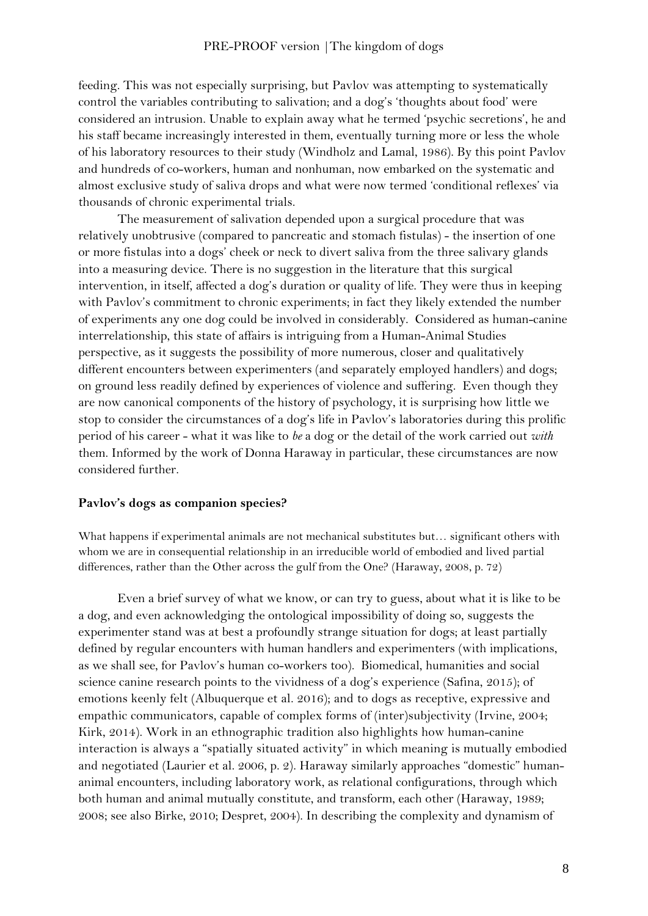feeding. This was not especially surprising, but Pavlov was attempting to systematically control the variables contributing to salivation; and a dog's 'thoughts about food' were considered an intrusion. Unable to explain away what he termed 'psychic secretions', he and his staff became increasingly interested in them, eventually turning more or less the whole of his laboratory resources to their study (Windholz and Lamal, 1986). By this point Pavlov and hundreds of co-workers, human and nonhuman, now embarked on the systematic and almost exclusive study of saliva drops and what were now termed 'conditional reflexes' via thousands of chronic experimental trials.

The measurement of salivation depended upon a surgical procedure that was relatively unobtrusive (compared to pancreatic and stomach fistulas) - the insertion of one or more fistulas into a dogs' cheek or neck to divert saliva from the three salivary glands into a measuring device. There is no suggestion in the literature that this surgical intervention, in itself, affected a dog's duration or quality of life. They were thus in keeping with Pavlov's commitment to chronic experiments; in fact they likely extended the number of experiments any one dog could be involved in considerably. Considered as human-canine interrelationship, this state of affairs is intriguing from a Human-Animal Studies perspective, as it suggests the possibility of more numerous, closer and qualitatively different encounters between experimenters (and separately employed handlers) and dogs; on ground less readily defined by experiences of violence and suffering. Even though they are now canonical components of the history of psychology, it is surprising how little we stop to consider the circumstances of a dog's life in Pavlov's laboratories during this prolific period of his career - what it was like to *be* a dog or the detail of the work carried out *with* them. Informed by the work of Donna Haraway in particular, these circumstances are now considered further.

## **Pavlov's dogs as companion species?**

What happens if experimental animals are not mechanical substitutes but… significant others with whom we are in consequential relationship in an irreducible world of embodied and lived partial differences, rather than the Other across the gulf from the One? (Haraway, 2008, p. 72)

Even a brief survey of what we know, or can try to guess, about what it is like to be a dog, and even acknowledging the ontological impossibility of doing so, suggests the experimenter stand was at best a profoundly strange situation for dogs; at least partially defined by regular encounters with human handlers and experimenters (with implications, as we shall see, for Pavlov's human co-workers too). Biomedical, humanities and social science canine research points to the vividness of a dog's experience (Safina, 2015); of emotions keenly felt (Albuquerque et al. 2016); and to dogs as receptive, expressive and empathic communicators, capable of complex forms of (inter)subjectivity (Irvine, 2004; Kirk, 2014). Work in an ethnographic tradition also highlights how human-canine interaction is always a "spatially situated activity" in which meaning is mutually embodied and negotiated (Laurier et al. 2006, p. 2). Haraway similarly approaches "domestic" humananimal encounters, including laboratory work, as relational configurations, through which both human and animal mutually constitute, and transform, each other (Haraway, 1989; 2008; see also Birke, 2010; Despret, 2004). In describing the complexity and dynamism of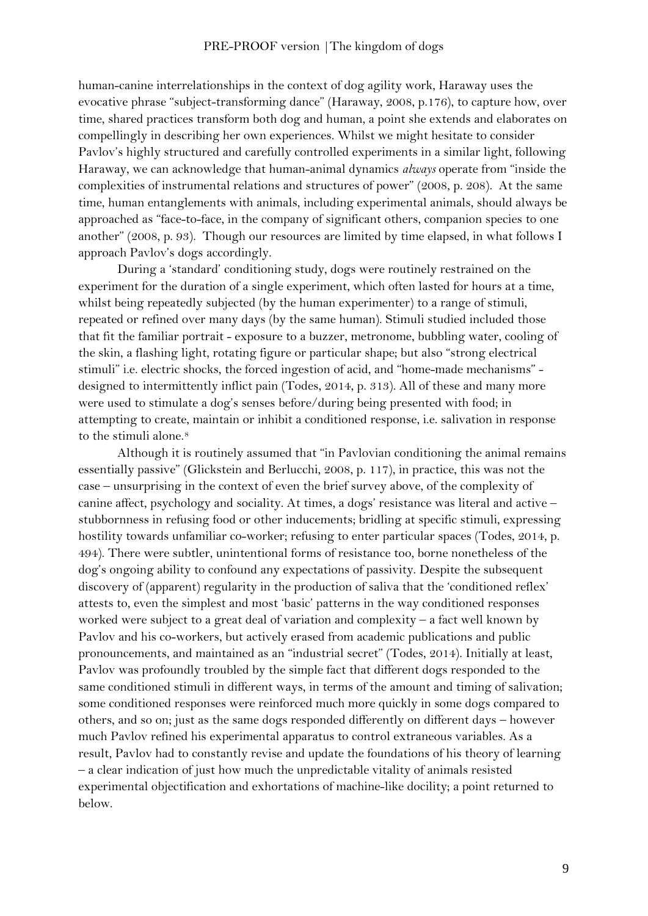human-canine interrelationships in the context of dog agility work, Haraway uses the evocative phrase "subject-transforming dance" (Haraway, 2008, p.176), to capture how, over time, shared practices transform both dog and human, a point she extends and elaborates on compellingly in describing her own experiences. Whilst we might hesitate to consider Pavlov's highly structured and carefully controlled experiments in a similar light, following Haraway, we can acknowledge that human-animal dynamics *always* operate from "inside the complexities of instrumental relations and structures of power" (2008, p. 208). At the same time, human entanglements with animals, including experimental animals, should always be approached as "face-to-face, in the company of significant others, companion species to one another" (2008, p. 93). Though our resources are limited by time elapsed, in what follows I approach Pavlov's dogs accordingly.

During a 'standard' conditioning study, dogs were routinely restrained on the experiment for the duration of a single experiment, which often lasted for hours at a time, whilst being repeatedly subjected (by the human experimenter) to a range of stimuli, repeated or refined over many days (by the same human). Stimuli studied included those that fit the familiar portrait - exposure to a buzzer, metronome, bubbling water, cooling of the skin, a flashing light, rotating figure or particular shape; but also "strong electrical stimuli" i.e. electric shocks, the forced ingestion of acid, and "home-made mechanisms" designed to intermittently inflict pain (Todes, 2014, p. 313). All of these and many more were used to stimulate a dog's senses before/during being presented with food; in attempting to create, maintain or inhibit a conditioned response, i.e. salivation in response to the stimuli alone.<sup>[8](#page-2-7)</sup>

Although it is routinely assumed that "in Pavlovian conditioning the animal remains essentially passive" (Glickstein and Berlucchi, 2008, p. 117), in practice, this was not the case – unsurprising in the context of even the brief survey above, of the complexity of canine affect, psychology and sociality. At times, a dogs' resistance was literal and active – stubbornness in refusing food or other inducements; bridling at specific stimuli, expressing hostility towards unfamiliar co-worker; refusing to enter particular spaces (Todes, 2014, p. 494). There were subtler, unintentional forms of resistance too, borne nonetheless of the dog's ongoing ability to confound any expectations of passivity. Despite the subsequent discovery of (apparent) regularity in the production of saliva that the 'conditioned reflex' attests to, even the simplest and most 'basic' patterns in the way conditioned responses worked were subject to a great deal of variation and complexity – a fact well known by Pavlov and his co-workers, but actively erased from academic publications and public pronouncements, and maintained as an "industrial secret" (Todes, 2014). Initially at least, Pavlov was profoundly troubled by the simple fact that different dogs responded to the same conditioned stimuli in different ways, in terms of the amount and timing of salivation; some conditioned responses were reinforced much more quickly in some dogs compared to others, and so on; just as the same dogs responded differently on different days – however much Pavlov refined his experimental apparatus to control extraneous variables. As a result, Pavlov had to constantly revise and update the foundations of his theory of learning – a clear indication of just how much the unpredictable vitality of animals resisted experimental objectification and exhortations of machine-like docility; a point returned to below.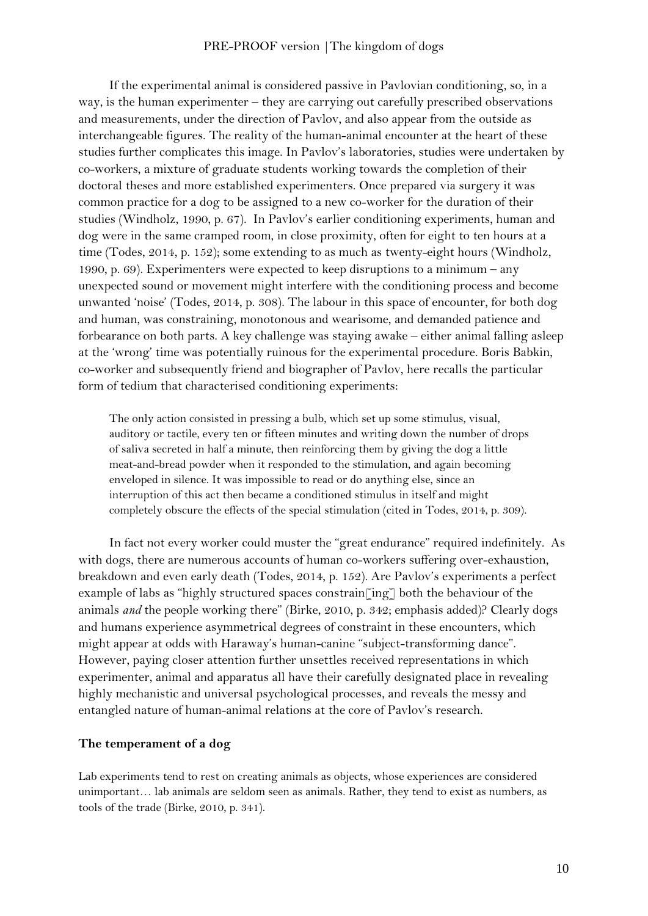If the experimental animal is considered passive in Pavlovian conditioning, so, in a way, is the human experimenter – they are carrying out carefully prescribed observations and measurements, under the direction of Pavlov, and also appear from the outside as interchangeable figures. The reality of the human-animal encounter at the heart of these studies further complicates this image. In Pavlov's laboratories, studies were undertaken by co-workers, a mixture of graduate students working towards the completion of their doctoral theses and more established experimenters. Once prepared via surgery it was common practice for a dog to be assigned to a new co-worker for the duration of their studies (Windholz, 1990, p. 67). In Pavlov's earlier conditioning experiments, human and dog were in the same cramped room, in close proximity, often for eight to ten hours at a time (Todes, 2014, p. 152); some extending to as much as twenty-eight hours (Windholz, 1990, p. 69). Experimenters were expected to keep disruptions to a minimum – any unexpected sound or movement might interfere with the conditioning process and become unwanted 'noise' (Todes, 2014, p. 308). The labour in this space of encounter, for both dog and human, was constraining, monotonous and wearisome, and demanded patience and forbearance on both parts. A key challenge was staying awake – either animal falling asleep at the 'wrong' time was potentially ruinous for the experimental procedure. Boris Babkin, co-worker and subsequently friend and biographer of Pavlov, here recalls the particular form of tedium that characterised conditioning experiments:

The only action consisted in pressing a bulb, which set up some stimulus, visual, auditory or tactile, every ten or fifteen minutes and writing down the number of drops of saliva secreted in half a minute, then reinforcing them by giving the dog a little meat-and-bread powder when it responded to the stimulation, and again becoming enveloped in silence. It was impossible to read or do anything else, since an interruption of this act then became a conditioned stimulus in itself and might completely obscure the effects of the special stimulation (cited in Todes, 2014, p. 309).

In fact not every worker could muster the "great endurance" required indefinitely. As with dogs, there are numerous accounts of human co-workers suffering over-exhaustion, breakdown and even early death (Todes, 2014, p. 152). Are Pavlov's experiments a perfect example of labs as "highly structured spaces constrain[ing] both the behaviour of the animals *and* the people working there" (Birke, 2010, p. 342; emphasis added)? Clearly dogs and humans experience asymmetrical degrees of constraint in these encounters, which might appear at odds with Haraway's human-canine "subject-transforming dance". However, paying closer attention further unsettles received representations in which experimenter, animal and apparatus all have their carefully designated place in revealing highly mechanistic and universal psychological processes, and reveals the messy and entangled nature of human-animal relations at the core of Pavlov's research.

# **The temperament of a dog**

Lab experiments tend to rest on creating animals as objects, whose experiences are considered unimportant… lab animals are seldom seen as animals. Rather, they tend to exist as numbers, as tools of the trade (Birke, 2010, p. 341).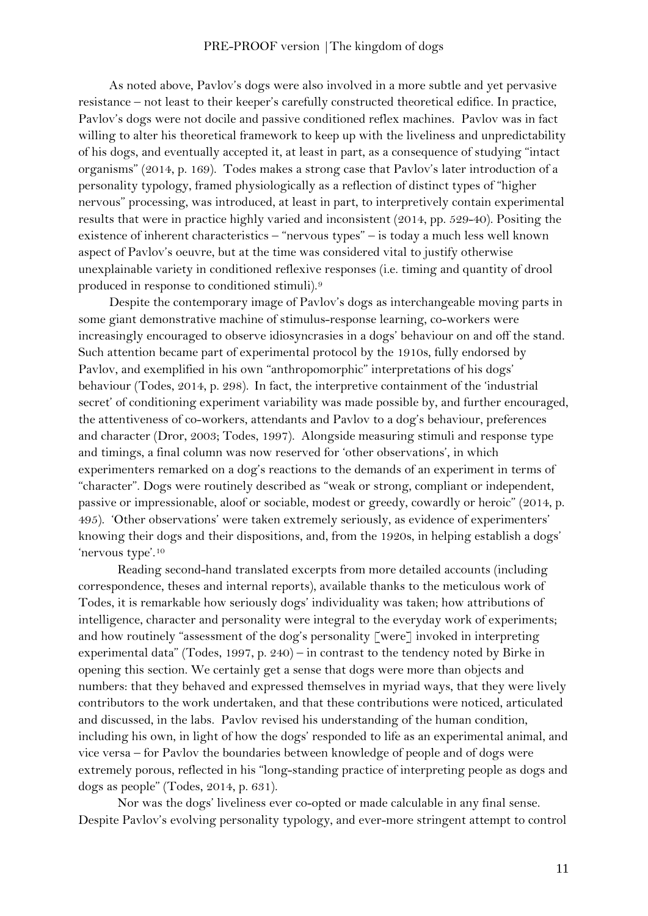As noted above, Pavlov's dogs were also involved in a more subtle and yet pervasive resistance – not least to their keeper's carefully constructed theoretical edifice. In practice, Pavlov's dogs were not docile and passive conditioned reflex machines. Pavlov was in fact willing to alter his theoretical framework to keep up with the liveliness and unpredictability of his dogs, and eventually accepted it, at least in part, as a consequence of studying "intact organisms" (2014, p. 169). Todes makes a strong case that Pavlov's later introduction of a personality typology, framed physiologically as a reflection of distinct types of "higher nervous" processing, was introduced, at least in part, to interpretively contain experimental results that were in practice highly varied and inconsistent (2014, pp. 529-40). Positing the existence of inherent characteristics – "nervous types" – is today a much less well known aspect of Pavlov's oeuvre, but at the time was considered vital to justify otherwise unexplainable variety in conditioned reflexive responses (i.e. timing and quantity of drool produced in response to conditioned stimuli).[9](#page-2-8)

Despite the contemporary image of Pavlov's dogs as interchangeable moving parts in some giant demonstrative machine of stimulus-response learning, co-workers were increasingly encouraged to observe idiosyncrasies in a dogs' behaviour on and off the stand. Such attention became part of experimental protocol by the 1910s, fully endorsed by Pavlov, and exemplified in his own "anthropomorphic" interpretations of his dogs' behaviour (Todes, 2014, p. 298). In fact, the interpretive containment of the 'industrial secret' of conditioning experiment variability was made possible by, and further encouraged, the attentiveness of co-workers, attendants and Pavlov to a dog's behaviour, preferences and character (Dror, 2003; Todes, 1997). Alongside measuring stimuli and response type and timings, a final column was now reserved for 'other observations', in which experimenters remarked on a dog's reactions to the demands of an experiment in terms of "character". Dogs were routinely described as "weak or strong, compliant or independent, passive or impressionable, aloof or sociable, modest or greedy, cowardly or heroic" (2014, p. 495). 'Other observations' were taken extremely seriously, as evidence of experimenters' knowing their dogs and their dispositions, and, from the 1920s, in helping establish a dogs' 'nervous type'.[10](#page-2-9)

Reading second-hand translated excerpts from more detailed accounts (including correspondence, theses and internal reports), available thanks to the meticulous work of Todes, it is remarkable how seriously dogs' individuality was taken; how attributions of intelligence, character and personality were integral to the everyday work of experiments; and how routinely "assessment of the dog's personality  $\lceil$  were $\rceil$  invoked in interpreting experimental data" (Todes, 1997, p. 240) – in contrast to the tendency noted by Birke in opening this section. We certainly get a sense that dogs were more than objects and numbers: that they behaved and expressed themselves in myriad ways, that they were lively contributors to the work undertaken, and that these contributions were noticed, articulated and discussed, in the labs. Pavlov revised his understanding of the human condition, including his own, in light of how the dogs' responded to life as an experimental animal, and vice versa – for Pavlov the boundaries between knowledge of people and of dogs were extremely porous, reflected in his "long-standing practice of interpreting people as dogs and dogs as people" (Todes, 2014, p. 631).

Nor was the dogs' liveliness ever co-opted or made calculable in any final sense. Despite Pavlov's evolving personality typology, and ever-more stringent attempt to control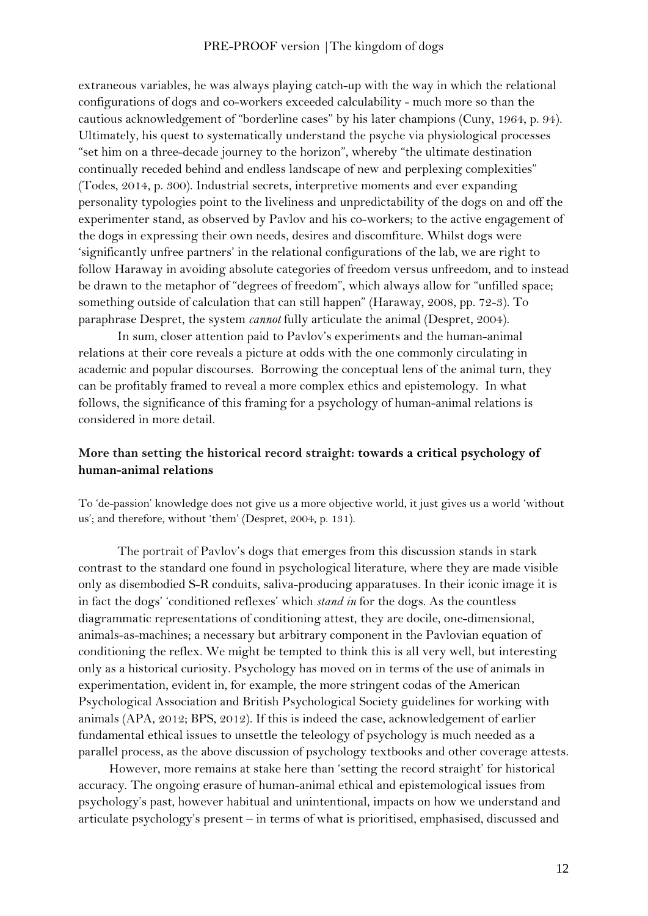extraneous variables, he was always playing catch-up with the way in which the relational configurations of dogs and co-workers exceeded calculability - much more so than the cautious acknowledgement of "borderline cases" by his later champions (Cuny, 1964, p. 94). Ultimately, his quest to systematically understand the psyche via physiological processes "set him on a three-decade journey to the horizon", whereby "the ultimate destination continually receded behind and endless landscape of new and perplexing complexities" (Todes, 2014, p. 300). Industrial secrets, interpretive moments and ever expanding personality typologies point to the liveliness and unpredictability of the dogs on and off the experimenter stand, as observed by Pavlov and his co-workers; to the active engagement of the dogs in expressing their own needs, desires and discomfiture. Whilst dogs were 'significantly unfree partners' in the relational configurations of the lab, we are right to follow Haraway in avoiding absolute categories of freedom versus unfreedom, and to instead be drawn to the metaphor of "degrees of freedom", which always allow for "unfilled space; something outside of calculation that can still happen" (Haraway, 2008, pp. 72-3). To paraphrase Despret, the system *cannot* fully articulate the animal (Despret, 2004).

In sum, closer attention paid to Pavlov's experiments and the human-animal relations at their core reveals a picture at odds with the one commonly circulating in academic and popular discourses. Borrowing the conceptual lens of the animal turn, they can be profitably framed to reveal a more complex ethics and epistemology. In what follows, the significance of this framing for a psychology of human-animal relations is considered in more detail.

# **More than setting the historical record straight: towards a critical psychology of human-animal relations**

To 'de-passion' knowledge does not give us a more objective world, it just gives us a world 'without us'; and therefore, without 'them' (Despret, 2004, p. 131).

The portrait of Pavlov's dogs that emerges from this discussion stands in stark contrast to the standard one found in psychological literature, where they are made visible only as disembodied S-R conduits, saliva-producing apparatuses. In their iconic image it is in fact the dogs' 'conditioned reflexes' which *stand in* for the dogs. As the countless diagrammatic representations of conditioning attest, they are docile, one-dimensional, animals-as-machines; a necessary but arbitrary component in the Pavlovian equation of conditioning the reflex. We might be tempted to think this is all very well, but interesting only as a historical curiosity. Psychology has moved on in terms of the use of animals in experimentation, evident in, for example, the more stringent codas of the American Psychological Association and British Psychological Society guidelines for working with animals (APA, 2012; BPS, 2012). If this is indeed the case, acknowledgement of earlier fundamental ethical issues to unsettle the teleology of psychology is much needed as a parallel process, as the above discussion of psychology textbooks and other coverage attests.

However, more remains at stake here than 'setting the record straight' for historical accuracy. The ongoing erasure of human-animal ethical and epistemological issues from psychology's past, however habitual and unintentional, impacts on how we understand and articulate psychology's present – in terms of what is prioritised, emphasised, discussed and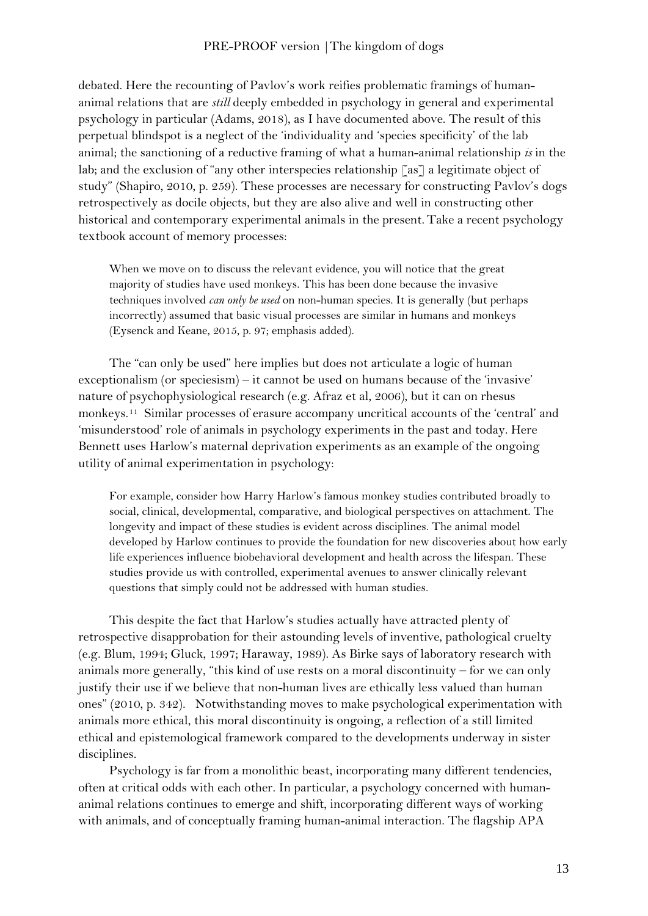debated. Here the recounting of Pavlov's work reifies problematic framings of humananimal relations that are *still* deeply embedded in psychology in general and experimental psychology in particular (Adams, 2018), as I have documented above. The result of this perpetual blindspot is a neglect of the 'individuality and 'species specificity' of the lab animal; the sanctioning of a reductive framing of what a human-animal relationship *is* in the lab; and the exclusion of "any other interspecies relationship  $\lceil as \rceil$  a legitimate object of study" (Shapiro, 2010, p. 259). These processes are necessary for constructing Pavlov's dogs retrospectively as docile objects, but they are also alive and well in constructing other historical and contemporary experimental animals in the present. Take a recent psychology textbook account of memory processes:

When we move on to discuss the relevant evidence, you will notice that the great majority of studies have used monkeys. This has been done because the invasive techniques involved *can only be used* on non-human species. It is generally (but perhaps incorrectly) assumed that basic visual processes are similar in humans and monkeys (Eysenck and Keane, 2015, p. 97; emphasis added).

The "can only be used" here implies but does not articulate a logic of human exceptionalism (or speciesism) – it cannot be used on humans because of the 'invasive' nature of psychophysiological research (e.g. Afraz et al, 2006), but it can on rhesus monkeys.[11](#page-2-10) Similar processes of erasure accompany uncritical accounts of the 'central' and 'misunderstood' role of animals in psychology experiments in the past and today. Here Bennett uses Harlow's maternal deprivation experiments as an example of the ongoing utility of animal experimentation in psychology:

For example, consider how Harry Harlow's famous monkey studies contributed broadly to social, clinical, developmental, comparative, and biological perspectives on attachment. The longevity and impact of these studies is evident across disciplines. The animal model developed by Harlow continues to provide the foundation for new discoveries about how early life experiences influence biobehavioral development and health across the lifespan. These studies provide us with controlled, experimental avenues to answer clinically relevant questions that simply could not be addressed with human studies.

This despite the fact that Harlow's studies actually have attracted plenty of retrospective disapprobation for their astounding levels of inventive, pathological cruelty (e.g. Blum, 1994; Gluck, 1997; Haraway, 1989). As Birke says of laboratory research with animals more generally, "this kind of use rests on a moral discontinuity – for we can only justify their use if we believe that non-human lives are ethically less valued than human ones" (2010, p. 342). Notwithstanding moves to make psychological experimentation with animals more ethical, this moral discontinuity is ongoing, a reflection of a still limited ethical and epistemological framework compared to the developments underway in sister disciplines.

Psychology is far from a monolithic beast, incorporating many different tendencies, often at critical odds with each other. In particular, a psychology concerned with humananimal relations continues to emerge and shift, incorporating different ways of working with animals, and of conceptually framing human-animal interaction. The flagship APA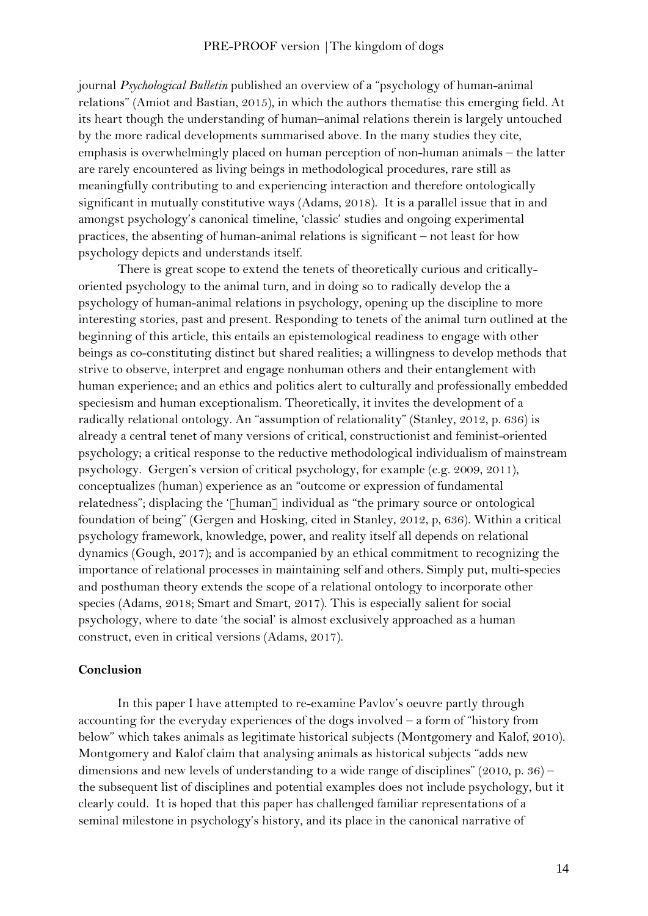journal *Psychological Bulletin* published an overview of a "psychology of human-animal relations" (Amiot and Bastian, 2015), in which the authors thematise this emerging field. At its heart though the understanding of human–animal relations therein is largely untouched by the more radical developments summarised above. In the many studies they cite, emphasis is overwhelmingly placed on human perception of non-human animals – the latter are rarely encountered as living beings in methodological procedures, rare still as meaningfully contributing to and experiencing interaction and therefore ontologically significant in mutually constitutive ways (Adams, 2018). It is a parallel issue that in and amongst psychology's canonical timeline, 'classic' studies and ongoing experimental practices, the absenting of human-animal relations is significant – not least for how psychology depicts and understands itself.

There is great scope to extend the tenets of theoretically curious and criticallyoriented psychology to the animal turn, and in doing so to radically develop the a psychology of human-animal relations in psychology, opening up the discipline to more interesting stories, past and present. Responding to tenets of the animal turn outlined at the beginning of this article, this entails an epistemological readiness to engage with other beings as co-constituting distinct but shared realities; a willingness to develop methods that strive to observe, interpret and engage nonhuman others and their entanglement with human experience; and an ethics and politics alert to culturally and professionally embedded speciesism and human exceptionalism. Theoretically, it invites the development of a radically relational ontology. An "assumption of relationality" (Stanley, 2012, p. 636) is already a central tenet of many versions of critical, constructionist and feminist-oriented psychology; a critical response to the reductive methodological individualism of mainstream psychology. Gergen's version of critical psychology, for example (e.g. 2009, 2011), conceptualizes (human) experience as an "outcome or expression of fundamental relatedness"; displacing the '[human] individual as "the primary source or ontological foundation of being" (Gergen and Hosking, cited in Stanley, 2012, p, 636). Within a critical psychology framework, knowledge, power, and reality itself all depends on relational dynamics (Gough, 2017); and is accompanied by an ethical commitment to recognizing the importance of relational processes in maintaining self and others. Simply put, multi-species and posthuman theory extends the scope of a relational ontology to incorporate other species (Adams, 2018; Smart and Smart, 2017). This is especially salient for social psychology, where to date 'the social' is almost exclusively approached as a human construct, even in critical versions (Adams, 2017).

## **Conclusion**

In this paper I have attempted to re-examine Pavlov's oeuvre partly through accounting for the everyday experiences of the dogs involved – a form of "history from below" which takes animals as legitimate historical subjects (Montgomery and Kalof, 2010). Montgomery and Kalof claim that analysing animals as historical subjects "adds new dimensions and new levels of understanding to a wide range of disciplines" (2010, p. 36) – the subsequent list of disciplines and potential examples does not include psychology, but it clearly could. It is hoped that this paper has challenged familiar representations of a seminal milestone in psychology's history, and its place in the canonical narrative of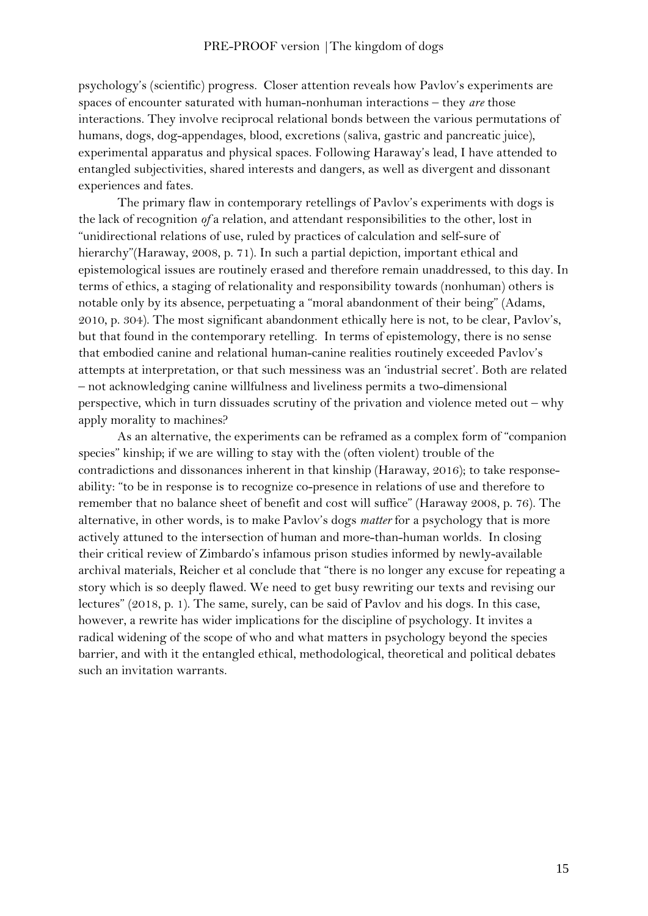psychology's (scientific) progress. Closer attention reveals how Pavlov's experiments are spaces of encounter saturated with human-nonhuman interactions – they *are* those interactions. They involve reciprocal relational bonds between the various permutations of humans, dogs, dog-appendages, blood, excretions (saliva, gastric and pancreatic juice), experimental apparatus and physical spaces. Following Haraway's lead, I have attended to entangled subjectivities, shared interests and dangers, as well as divergent and dissonant experiences and fates.

The primary flaw in contemporary retellings of Pavlov's experiments with dogs is the lack of recognition *of* a relation, and attendant responsibilities to the other, lost in "unidirectional relations of use, ruled by practices of calculation and self-sure of hierarchy"(Haraway, 2008, p. 71). In such a partial depiction, important ethical and epistemological issues are routinely erased and therefore remain unaddressed, to this day. In terms of ethics, a staging of relationality and responsibility towards (nonhuman) others is notable only by its absence, perpetuating a "moral abandonment of their being" (Adams, 2010, p. 304). The most significant abandonment ethically here is not, to be clear, Pavlov's, but that found in the contemporary retelling. In terms of epistemology, there is no sense that embodied canine and relational human-canine realities routinely exceeded Pavlov's attempts at interpretation, or that such messiness was an 'industrial secret'. Both are related – not acknowledging canine willfulness and liveliness permits a two-dimensional perspective, which in turn dissuades scrutiny of the privation and violence meted out – why apply morality to machines?

As an alternative, the experiments can be reframed as a complex form of "companion species" kinship; if we are willing to stay with the (often violent) trouble of the contradictions and dissonances inherent in that kinship (Haraway, 2016); to take responseability: "to be in response is to recognize co-presence in relations of use and therefore to remember that no balance sheet of benefit and cost will suffice" (Haraway 2008, p. 76). The alternative, in other words, is to make Pavlov's dogs *matter* for a psychology that is more actively attuned to the intersection of human and more-than-human worlds. In closing their critical review of Zimbardo's infamous prison studies informed by newly-available archival materials, Reicher et al conclude that "there is no longer any excuse for repeating a story which is so deeply flawed. We need to get busy rewriting our texts and revising our lectures" (2018, p. 1). The same, surely, can be said of Pavlov and his dogs. In this case, however, a rewrite has wider implications for the discipline of psychology. It invites a radical widening of the scope of who and what matters in psychology beyond the species barrier, and with it the entangled ethical, methodological, theoretical and political debates such an invitation warrants.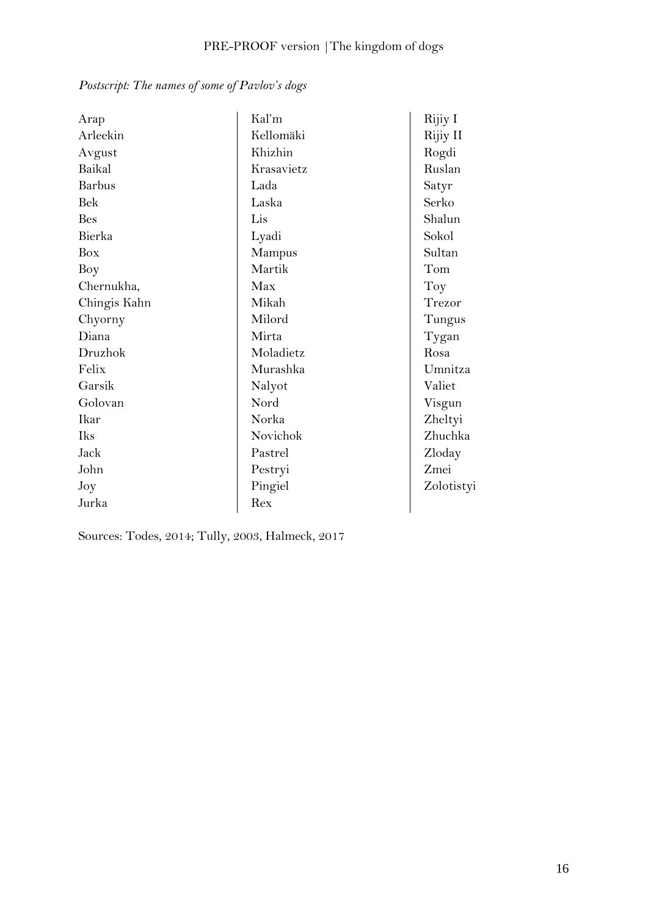| Arap          | Kal'm      | Rijiy I    |
|---------------|------------|------------|
| Arleekin      | Kellomäki  | Rijiy II   |
| Avgust        | Khizhin    | Rogdi      |
| Baikal        | Krasavietz | Ruslan     |
| <b>Barbus</b> | Lada       | Satyr      |
| <b>Bek</b>    | Laska      | Serko      |
| <b>Bes</b>    | Lis        | Shalun     |
| Bierka        | Lyadi      | Sokol      |
| Box           | Mampus     | Sultan     |
| Boy           | Martik     | Tom        |
| Chernukha,    | Max        | Toy        |
| Chingis Kahn  | Mikah      | Trezor     |
| Chyorny       | Milord     | Tungus     |
| Diana         | Mirta      | Tygan      |
| Druzhok       | Moladietz  | Rosa       |
| Felix         | Murashka   | Umnitza    |
| Garsik        | Nalyot     | Valiet     |
| Golovan       | Nord       | Visgun     |
| Ikar          | Norka      | Zheltyi    |
| <b>Iks</b>    | Novichok   | Zhuchka    |
| Jack          | Pastrel    | Zloday     |
| John          | Pestryi    | Zmei       |
| Joy           | Pingiel    | Zolotistyi |
| Jurka         | Rex        |            |

*Postscript: The names of some of Pavlov's dogs*

Sources: Todes, 2014; Tully, 2003, Halmeck, 2017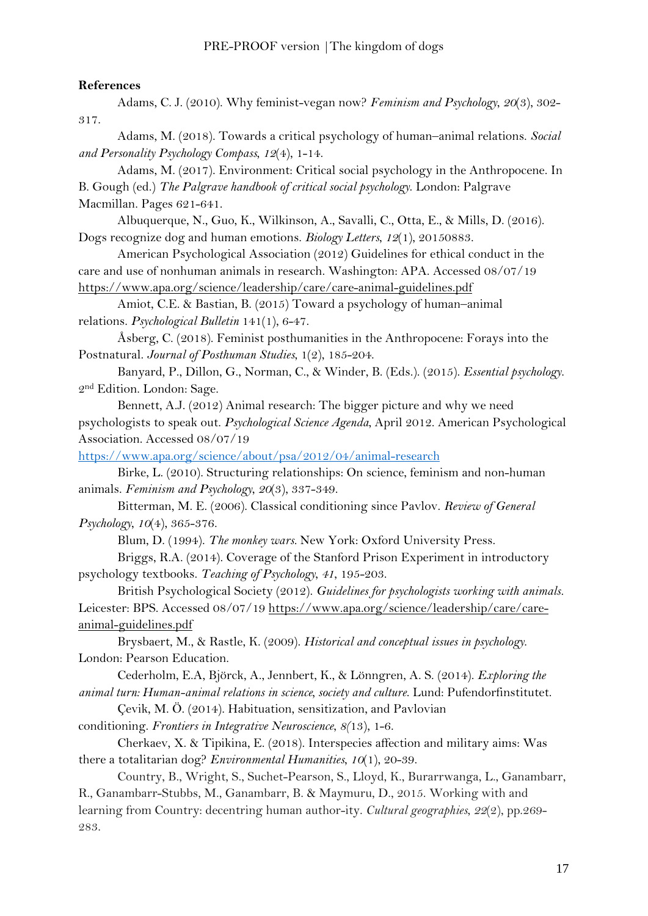# **References**

Adams, C. J. (2010). Why feminist-vegan now? *Feminism and Psychology*, *20*(3), 302- 317.

Adams, M. (2018). Towards a critical psychology of human–animal relations. *Social and Personality Psychology Compass*, *12*(4), 1-14.

Adams, M. (2017). Environment: Critical social psychology in the Anthropocene. In B. Gough (ed.) *The Palgrave handbook of critical social psychology*. London: Palgrave Macmillan. Pages 621-641.

Albuquerque, N., Guo, K., Wilkinson, A., Savalli, C., Otta, E., & Mills, D. (2016). Dogs recognize dog and human emotions. *Biology Letters*, *12*(1), 20150883.

American Psychological Association (2012) Guidelines for ethical conduct in the care and use of nonhuman animals in research. Washington: APA. Accessed 08/07/19 <https://www.apa.org/science/leadership/care/care-animal-guidelines.pdf>

Amiot, C.E. & Bastian, B. (2015) Toward a psychology of human–animal relations. *Psychological Bulletin* 141(1), 6-47.

Åsberg, C. (2018). Feminist posthumanities in the Anthropocene: Forays into the Postnatural. *Journal of Posthuman Studies*, 1(2), 185-204.

Banyard, P., Dillon, G., Norman, C., & Winder, B. (Eds.). (2015). *Essential psychology*. 2nd Edition. London: Sage.

Bennett, A.J. (2012) Animal research: The bigger picture and why we need psychologists to speak out. *Psychological Science Agenda*, April 2012. American Psychological Association. Accessed 08/07/19

<https://www.apa.org/science/about/psa/2012/04/animal-research>

Birke, L. (2010). Structuring relationships: On science, feminism and non-human animals. *Feminism and Psychology*, *20*(3), 337-349.

Bitterman, M. E. (2006). Classical conditioning since Pavlov. *Review of General Psychology*, *10*(4), 365-376.

Blum, D. (1994). *The monkey wars.* New York: Oxford University Press.

Briggs, R.A. (2014). Coverage of the Stanford Prison Experiment in introductory psychology textbooks. *Teaching of Psychology*, *41*, 195-203.

British Psychological Society (2012). *Guidelines for psychologists working with animals.*  Leicester: BPS. Accessed 08/07/19 [https://www.apa.org/science/leadership/care/care](https://www.apa.org/science/leadership/care/care-animal-guidelines.pdf)[animal-guidelines.pdf](https://www.apa.org/science/leadership/care/care-animal-guidelines.pdf)

Brysbaert, M., & Rastle, K. (2009). *Historical and conceptual issues in psychology*. London: Pearson Education.

Cederholm, E.A, Björck, A., Jennbert, K., & Lönngren, A. S. (2014). *Exploring the animal turn: Human-animal relations in science, society and culture*. Lund: Pufendorfinstitutet.

Çevik, M. Ö. (2014). Habituation, sensitization, and Pavlovian

conditioning. *Frontiers in Integrative Neuroscience*, *8(*13), 1-6.

Cherkaev, X. & Tipikina, E. (2018). Interspecies affection and military aims: Was there a totalitarian dog? *Environmental Humanities*, *10*(1), 20-39.

Country, B., Wright, S., Suchet-Pearson, S., Lloyd, K., Burarrwanga, L., Ganambarr, R., Ganambarr-Stubbs, M., Ganambarr, B. & Maymuru, D., 2015. Working with and learning from Country: decentring human author-ity. *Cultural geographies*, *22*(2), pp.269- 283.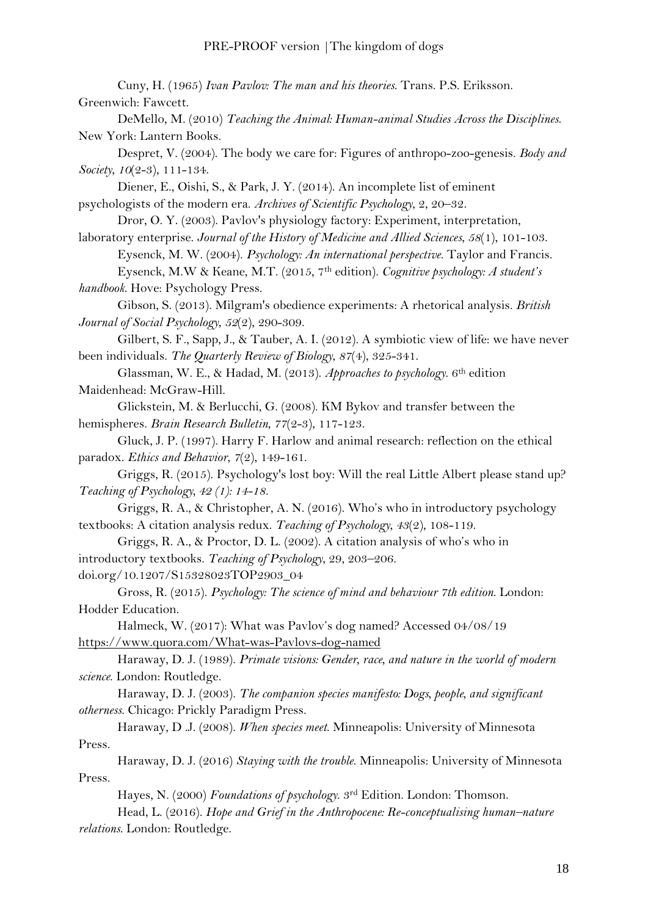Cuny, H. (1965) *Ivan Pavlov: The man and his theories*. Trans. P.S. Eriksson. Greenwich: Fawcett.

DeMello, M. (2010) *Teaching the Animal: Human-animal Studies Across the Disciplines*. New York: Lantern Books.

Despret, V. (2004). The body we care for: Figures of anthropo-zoo-genesis. *Body and Society*, *10*(2-3), 111-134.

Diener, E., Oishi, S., & Park, J. Y. (2014). An incomplete list of eminent psychologists of the modern era. *Archives of Scientific Psychology*, 2, 20–32.

Dror, O. Y. (2003). Pavlov's physiology factory: Experiment, interpretation,

laboratory enterprise. *Journal of the History of Medicine and Allied Sciences*, *58*(1), 101-103.

Eysenck, M. W. (2004). *Psychology: An international perspective*. Taylor and Francis.

Eysenck, M.W & Keane, M.T. (2015, 7th edition). *Cognitive psychology: A student's handbook*. Hove: Psychology Press.

Gibson, S. (2013). Milgram's obedience experiments: A rhetorical analysis. *British Journal of Social Psychology*, *52*(2), 290-309.

Gilbert, S. F., Sapp, J., & Tauber, A. I. (2012). A symbiotic view of life: we have never been individuals. *The Quarterly Review of Biology*, *87*(4), 325-341.

Glassman, W. E., & Hadad, M. (2013). *Approaches to psychology*. 6th edition Maidenhead: McGraw-Hill.

Glickstein, M. & Berlucchi, G. (2008). KM Bykov and transfer between the hemispheres. *Brain Research Bulletin*, *77*(2-3), 117-123.

Gluck, J. P. (1997). Harry F. Harlow and animal research: reflection on the ethical paradox. *Ethics and Behavior*, *7*(2), 149-161.

Griggs, R. (2015). Psychology's lost boy: Will the real Little Albert please stand up? *Teaching of Psychology, 42 (1): 14-18.* 

Griggs, R. A., & Christopher, A. N. (2016). Who's who in introductory psychology textbooks: A citation analysis redux. *Teaching of Psychology*, *43*(2), 108-119.

Griggs, R. A., & Proctor, D. L. (2002). A citation analysis of who's who in introductory textbooks. *Teaching of Psychology*, 29, 203–206. doi.org/10.1207/S15328023TOP2903\_04

Gross, R. (2015). *Psychology: The science of mind and behaviour 7th edition*. London: Hodder Education.

Halmeck, W. (2017): What was Pavlov's dog named? Accessed 04/08/19 <https://www.quora.com/What-was-Pavlovs-dog-named>

Haraway, D. J. (1989). *Primate visions: Gender, race, and nature in the world of modern science*. London: Routledge.

Haraway, D. J. (2003). *The companion species manifesto: Dogs, people, and significant otherness*. Chicago: Prickly Paradigm Press.

Haraway, D .J. (2008). *When species meet*. Minneapolis: University of Minnesota Press.

Haraway, D. J. (2016) *Staying with the trouble*. Minneapolis: University of Minnesota Press.

Hayes, N. (2000) *Foundations of psychology*. 3rd Edition. London: Thomson.

Head, L. (2016). *Hope and Grief in the Anthropocene: Re-conceptualising human–nature relations*. London: Routledge.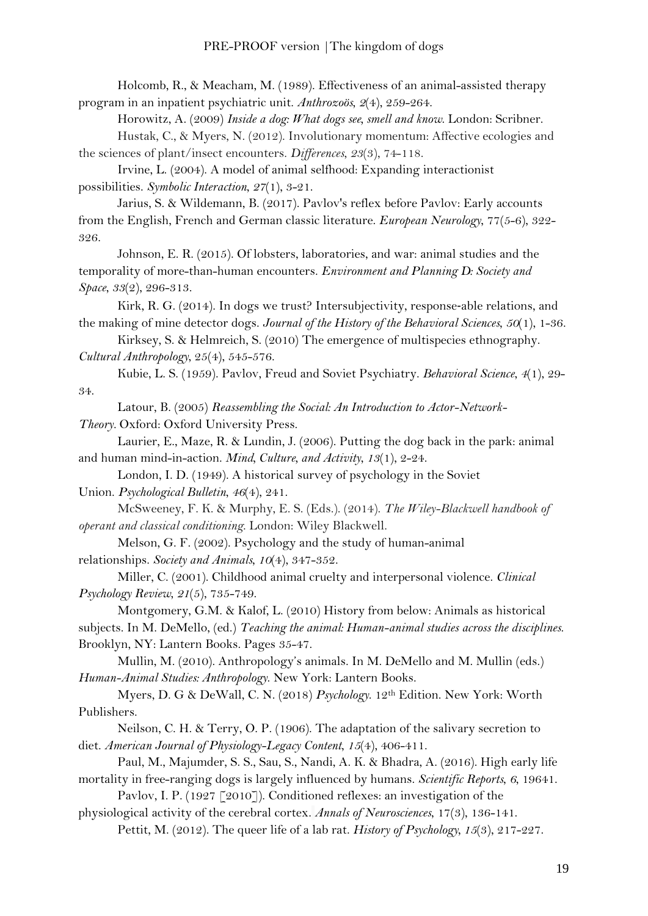Holcomb, R., & Meacham, M. (1989). Effectiveness of an animal-assisted therapy program in an inpatient psychiatric unit. *Anthrozoös*, *2*(4), 259-264.

Horowitz, A. (2009) *Inside a dog: What dogs see, smell and know*. London: Scribner.

Hustak, C., & Myers, N. (2012). Involutionary momentum: Affective ecologies and the sciences of plant/insect encounters. *Differences*, *23*(3), 74-118.

Irvine, L. (2004). A model of animal selfhood: Expanding interactionist possibilities. *Symbolic Interaction*, *27*(1), 3-21.

Jarius, S. & Wildemann, B. (2017). Pavlov's reflex before Pavlov: Early accounts from the English, French and German classic literature. *European Neurology*, 77(5-6), 322- 326.

Johnson, E. R. (2015). Of lobsters, laboratories, and war: animal studies and the temporality of more-than-human encounters. *Environment and Planning D: Society and Space*, *33*(2), 296-313.

Kirk, R. G. (2014). In dogs we trust? Intersubjectivity, response-able relations, and the making of mine detector dogs. *Journal of the History of the Behavioral Sciences*, *50*(1), 1-36.

Kirksey, S. & Helmreich, S. (2010) The emergence of multispecies ethnography. *Cultural Anthropology*, 25(4), 545-576.

Kubie, L. S. (1959). Pavlov, Freud and Soviet Psychiatry. *Behavioral Science*, *4*(1), 29- 34.

Latour, B. (2005) *Reassembling the Social: An Introduction to Actor-Network-*

*Theory.* Oxford: Oxford University Press.

Laurier, E., Maze, R. & Lundin, J. (2006). Putting the dog back in the park: animal and human mind-in-action. *Mind, Culture, and Activity*, *13*(1), 2-24.

London, I. D. (1949). A historical survey of psychology in the Soviet Union. *Psychological Bulletin*, *46*(4), 241.

McSweeney, F. K. & Murphy, E. S. (Eds.). (2014). *The Wiley-Blackwell handbook of operant and classical conditioning*. London: Wiley Blackwell.

Melson, G. F. (2002). Psychology and the study of human-animal relationships. *Society and Animals*, *10*(4), 347-352.

Miller, C. (2001). Childhood animal cruelty and interpersonal violence. *Clinical Psychology Review*, *21*(5), 735-749.

Montgomery, G.M. & Kalof, L. (2010) History from below: Animals as historical subjects. In M. DeMello, (ed.) *Teaching the animal: Human-animal studies across the disciplines*. Brooklyn, NY: Lantern Books. Pages 35-47.

Mullin, M. (2010). Anthropology's animals. In M. DeMello and M. Mullin (eds.) *Human-Animal Studies: Anthropology*. New York: Lantern Books.

Myers, D. G & DeWall, C. N. (2018) *Psychology*. 12th Edition. New York: Worth Publishers.

Neilson, C. H. & Terry, O. P. (1906). The adaptation of the salivary secretion to diet. *American Journal of Physiology-Legacy Content*, *15*(4), 406-411.

Paul, M., Majumder, S. S., Sau, S., Nandi, A. K. & Bhadra, A. (2016). High early life mortality in free-ranging dogs is largely influenced by humans. *Scientific Reports*, *6*, 19641.

Pavlov, I. P. (1927 [2010]). Conditioned reflexes: an investigation of the physiological activity of the cerebral cortex. *Annals of Neurosciences*, 17(3), 136-141.

Pettit, M. (2012). The queer life of a lab rat. *History of Psychology*, 15(3), 217-227.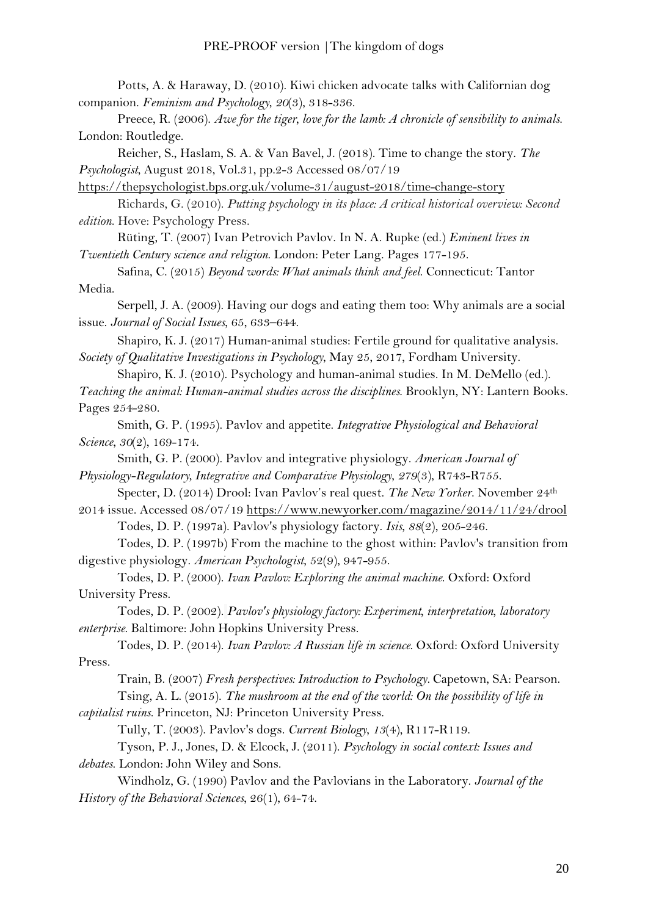Potts, A. & Haraway, D. (2010). Kiwi chicken advocate talks with Californian dog companion. *Feminism and Psychology*, *20*(3), 318-336.

Preece, R. (2006). *Awe for the tiger, love for the lamb: A chronicle of sensibility to animals*. London: Routledge.

Reicher, S., Haslam, S. A. & Van Bavel, J. (2018). Time to change the story. *The Psychologist*, August 2018, Vol.31, pp.2-3 Accessed 08/07/19

<https://thepsychologist.bps.org.uk/volume-31/august-2018/time-change-story>

Richards, G. (2010). *Putting psychology in its place: A critical historical overview: Second edition*. Hove: Psychology Press.

Rüting, T. (2007) Ivan Petrovich Pavlov. In N. A. Rupke (ed.) *Eminent lives in Twentieth Century science and religion*. London: Peter Lang. Pages 177-195.

Safina, C. (2015) *Beyond words: What animals think and feel*. Connecticut: Tantor Media.

Serpell, J. A. (2009). Having our dogs and eating them too: Why animals are a social issue. *Journal of Social Issues*, 65, 633–644.

Shapiro, K. J. (2017) Human‐animal studies: Fertile ground for qualitative analysis. *Society of Qualitative Investigations in Psychology*, May 25, 2017, Fordham University.

Shapiro, K. J. (2010). Psychology and human-animal studies. In M. DeMello (ed.). *Teaching the animal: Human-animal studies across the disciplines*. Brooklyn, NY: Lantern Books. Pages 254-280.

Smith, G. P. (1995). Pavlov and appetite. *Integrative Physiological and Behavioral Science*, *30*(2), 169-174.

Smith, G. P. (2000). Pavlov and integrative physiology. *American Journal of Physiology-Regulatory, Integrative and Comparative Physiology*, *279*(3), R743-R755.

Specter, D. (2014) Drool: Ivan Pavlov's real quest. *The New Yorker*. November 24th

2014 issue. Accessed 08/07/19<https://www.newyorker.com/magazine/2014/11/24/drool> Todes, D. P. (1997a). Pavlov's physiology factory. *Isis*, *88*(2), 205-246.

Todes, D. P. (1997b) From the machine to the ghost within: Pavlov's transition from digestive physiology. *American Psychologist*, 52(9), 947-955.

Todes, D. P. (2000). *Ivan Pavlov: Exploring the animal machine*. Oxford: Oxford University Press.

Todes, D. P. (2002). *Pavlov's physiology factory: Experiment, interpretation, laboratory enterprise*. Baltimore: John Hopkins University Press.

Todes, D. P. (2014). *Ivan Pavlov: A Russian life in science*. Oxford: Oxford University Press.

Train, B. (2007) *Fresh perspectives: Introduction to Psychology.* Capetown, SA: Pearson.

Tsing, A. L. (2015). *The mushroom at the end of the world: On the possibility of life in capitalist ruins*. Princeton, NJ: Princeton University Press.

Tully, T. (2003). Pavlov's dogs. *Current Biology*, *13*(4), R117-R119.

Tyson, P. J., Jones, D. & Elcock, J. (2011). *Psychology in social context: Issues and debates*. London: John Wiley and Sons.

Windholz, G. (1990) Pavlov and the Pavlovians in the Laboratory. *Journal of the History of the Behavioral Sciences*, 26(1), 64-74.